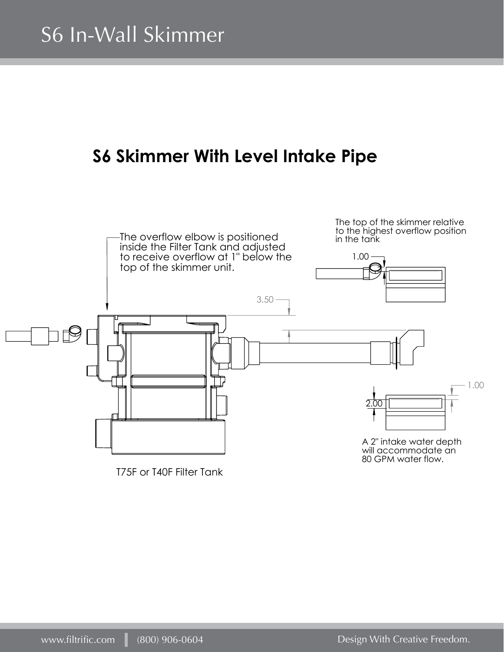### **S6 Skimmer With Level Intake Pipe**

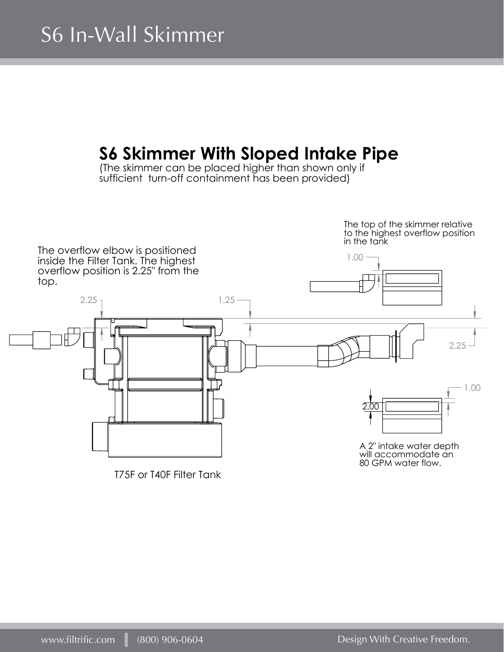### **S6 Skimmer With Sloped Intake Pipe**

(The skimmer can be placed higher than shown only if sufficient turn-off containment has been provided)

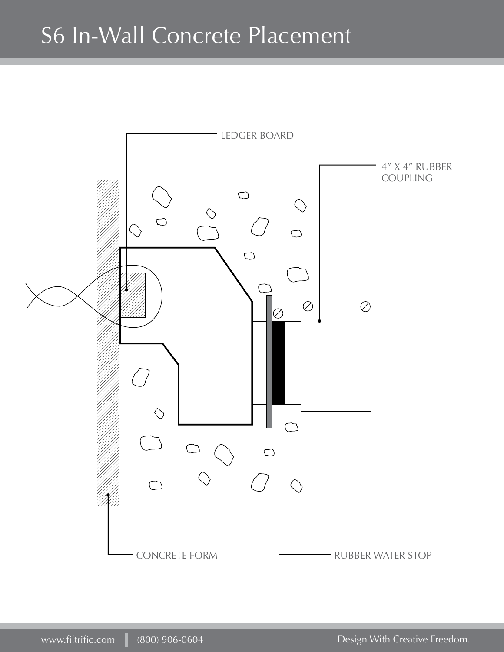## S6 In-Wall Concrete Placement

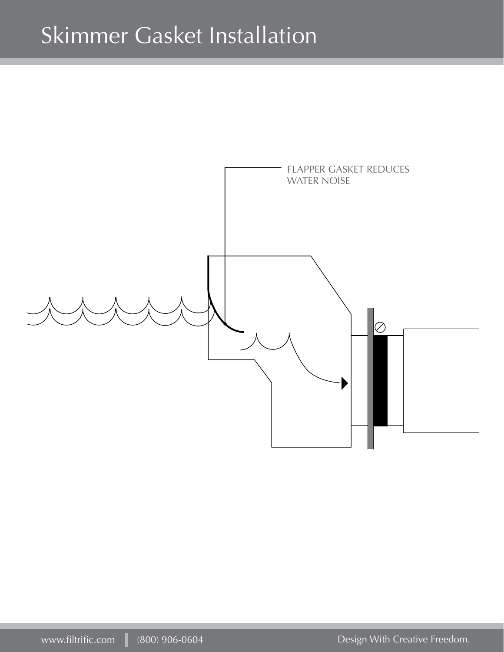# Skimmer Gasket Installation